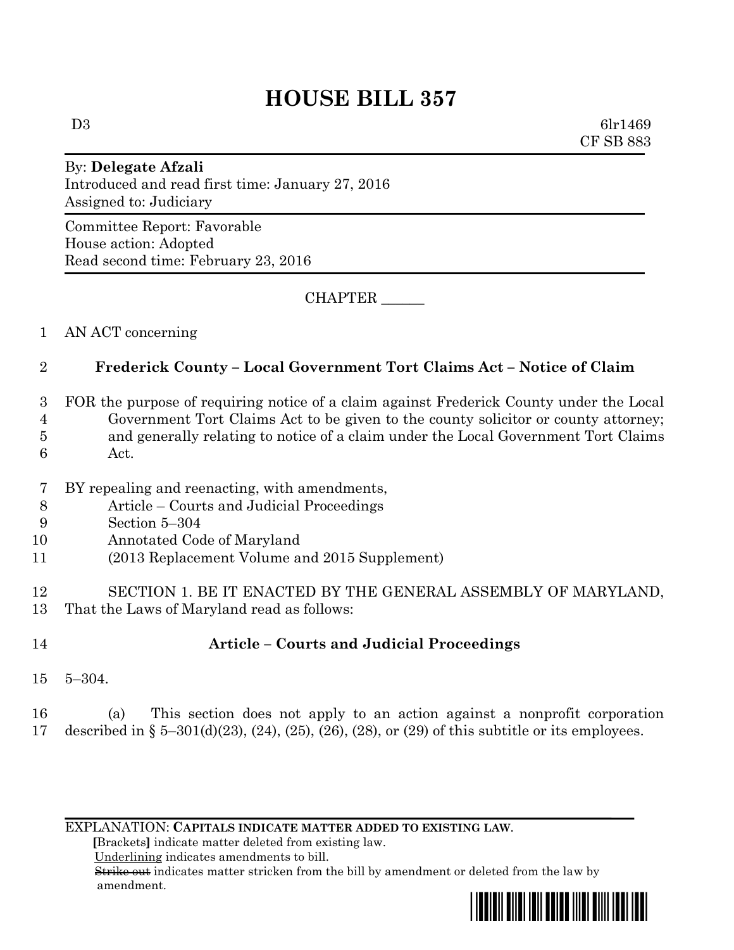# **HOUSE BILL 357**

 $D3 \hspace{3cm} \text{6lr1469}$ CF SB 883

## By: **Delegate Afzali** Introduced and read first time: January 27, 2016 Assigned to: Judiciary

Committee Report: Favorable House action: Adopted Read second time: February 23, 2016

CHAPTER \_\_\_\_\_\_

### 1 AN ACT concerning

### 2 **Frederick County – Local Government Tort Claims Act – Notice of Claim**

- 3 FOR the purpose of requiring notice of a claim against Frederick County under the Local 4 Government Tort Claims Act to be given to the county solicitor or county attorney; 5 and generally relating to notice of a claim under the Local Government Tort Claims 6 Act.
- 
- 7 BY repealing and reenacting, with amendments,
- 8 Article Courts and Judicial Proceedings
- 9 Section 5–304
- 10 Annotated Code of Maryland
- 11 (2013 Replacement Volume and 2015 Supplement)
- 12 SECTION 1. BE IT ENACTED BY THE GENERAL ASSEMBLY OF MARYLAND, 13 That the Laws of Maryland read as follows:
- 

# 14 **Article – Courts and Judicial Proceedings**

- 15 5–304.
- 16 (a) This section does not apply to an action against a nonprofit corporation 17 described in § 5–301(d)(23), (24), (25), (26), (28), or (29) of this subtitle or its employees.

EXPLANATION: **CAPITALS INDICATE MATTER ADDED TO EXISTING LAW**.

 **[**Brackets**]** indicate matter deleted from existing law.

Underlining indicates amendments to bill.

 Strike out indicates matter stricken from the bill by amendment or deleted from the law by amendment.